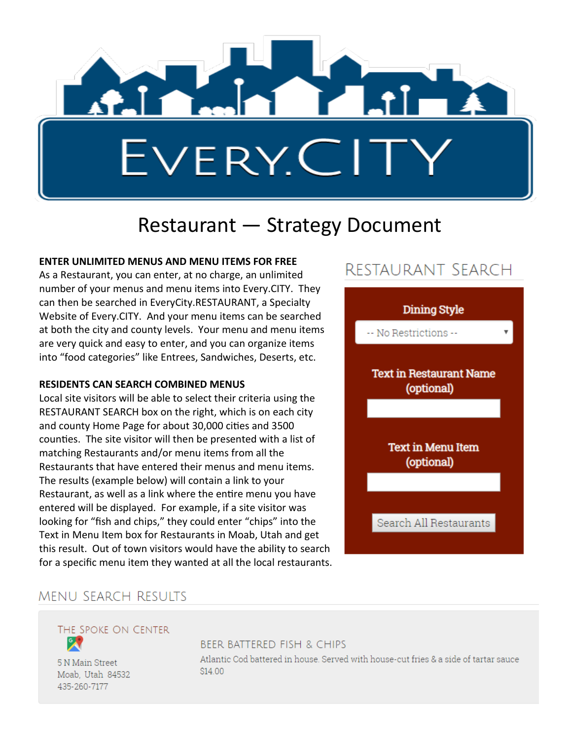

# Restaurant — Strategy Document

#### **ENTER UNLIMITED MENUS AND MENU ITEMS FOR FREE**

As a Restaurant, you can enter, at no charge, an unlimited number of your menus and menu items into Every.CITY. They can then be searched in EveryCity.RESTAURANT, a Specialty Website of Every.CITY. And your menu items can be searched at both the city and county levels. Your menu and menu items are very quick and easy to enter, and you can organize items into "food categories" like Entrees, Sandwiches, Deserts, etc.

#### **RESIDENTS CAN SEARCH COMBINED MENUS**

Local site visitors will be able to select their criteria using the RESTAURANT SEARCH box on the right, which is on each city and county Home Page for about 30,000 cities and 3500 counties. The site visitor will then be presented with a list of matching Restaurants and/or menu items from all the Restaurants that have entered their menus and menu items. The results (example below) will contain a link to your Restaurant, as well as a link where the entire menu you have entered will be displayed. For example, if a site visitor was looking for "fish and chips," they could enter "chips" into the Text in Menu Item box for Restaurants in Moab, Utah and get this result. Out of town visitors would have the ability to search for a specific menu item they wanted at all the local restaurants.

# RESTAURANT SEARCH



### **MENU SEARCH RESULTS**

THE SPOKE ON CENTER

5 N Main Street Moab, Utah 84532 435-260-7177

#### **BEER BATTERED FISH & CHIPS**

Atlantic Cod battered in house. Served with house-cut fries & a side of tartar sauce **S14.00**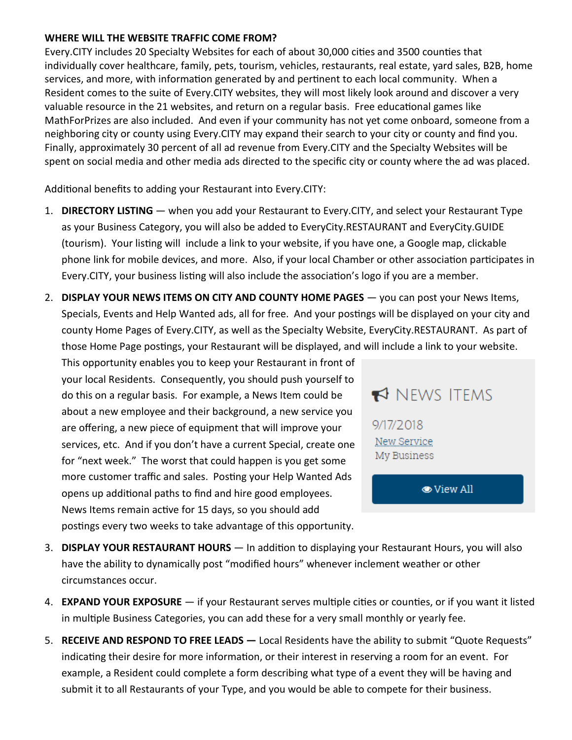#### **WHERE WILL THE WEBSITE TRAFFIC COME FROM?**

Every.CITY includes 20 Specialty Websites for each of about 30,000 cities and 3500 counties that individually cover healthcare, family, pets, tourism, vehicles, restaurants, real estate, yard sales, B2B, home services, and more, with information generated by and pertinent to each local community. When a Resident comes to the suite of Every.CITY websites, they will most likely look around and discover a very valuable resource in the 21 websites, and return on a regular basis. Free educational games like MathForPrizes are also included. And even if your community has not yet come onboard, someone from a neighboring city or county using Every.CITY may expand their search to your city or county and find you. Finally, approximately 30 percent of all ad revenue from Every.CITY and the Specialty Websites will be spent on social media and other media ads directed to the specific city or county where the ad was placed.

Additional benefits to adding your Restaurant into Every.CITY:

- 1. **DIRECTORY LISTING**  when you add your Restaurant to Every.CITY, and select your Restaurant Type as your Business Category, you will also be added to EveryCity.RESTAURANT and EveryCity.GUIDE (tourism). Your listing will include a link to your website, if you have one, a Google map, clickable phone link for mobile devices, and more. Also, if your local Chamber or other association participates in Every.CITY, your business listing will also include the association's logo if you are a member.
- 2. **DISPLAY YOUR NEWS ITEMS ON CITY AND COUNTY HOME PAGES** you can post your News Items, Specials, Events and Help Wanted ads, all for free. And your postings will be displayed on your city and county Home Pages of Every.CITY, as well as the Specialty Website, EveryCity.RESTAURANT. As part of those Home Page postings, your Restaurant will be displayed, and will include a link to your website.

This opportunity enables you to keep your Restaurant in front of your local Residents. Consequently, you should push yourself to do this on a regular basis. For example, a News Item could be about a new employee and their background, a new service you are offering, a new piece of equipment that will improve your services, etc. And if you don't have a current Special, create one for "next week." The worst that could happen is you get some more customer traffic and sales. Posting your Help Wanted Ads opens up additional paths to find and hire good employees. News Items remain active for 15 days, so you should add postings every two weeks to take advantage of this opportunity.

## NEWS ITEMS

9/17/2018 New Service My Business

**O** View All

- 3. **DISPLAY YOUR RESTAURANT HOURS**  In addition to displaying your Restaurant Hours, you will also have the ability to dynamically post "modified hours" whenever inclement weather or other circumstances occur.
- 4. **EXPAND YOUR EXPOSURE** if your Restaurant serves multiple cities or counties, or if you want it listed in multiple Business Categories, you can add these for a very small monthly or yearly fee.
- 5. **RECEIVE AND RESPOND TO FREE LEADS —** Local Residents have the ability to submit "Quote Requests" indicating their desire for more information, or their interest in reserving a room for an event. For example, a Resident could complete a form describing what type of a event they will be having and submit it to all Restaurants of your Type, and you would be able to compete for their business.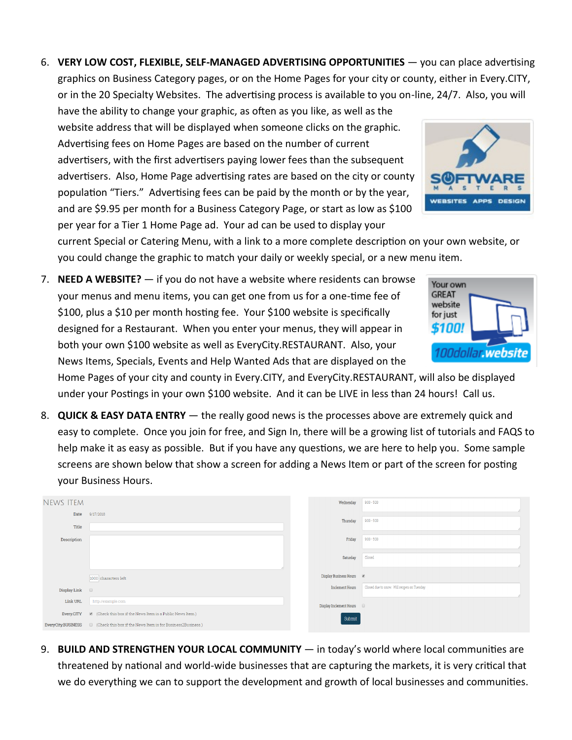6. **VERY LOW COST, FLEXIBLE, SELF-MANAGED ADVERTISING OPPORTUNITIES** — you can place advertising graphics on Business Category pages, or on the Home Pages for your city or county, either in Every.CITY, or in the 20 Specialty Websites. The advertising process is available to you on-line, 24/7. Also, you will

have the ability to change your graphic, as often as you like, as well as the website address that will be displayed when someone clicks on the graphic. Advertising fees on Home Pages are based on the number of current advertisers, with the first advertisers paying lower fees than the subsequent advertisers. Also, Home Page advertising rates are based on the city or county population "Tiers." Advertising fees can be paid by the month or by the year, and are \$9.95 per month for a Business Category Page, or start as low as \$100 per year for a Tier 1 Home Page ad. Your ad can be used to display your



current Special or Catering Menu, with a link to a more complete description on your own website, or you could change the graphic to match your daily or weekly special, or a new menu item.

7. **NEED A WEBSITE?** — if you do not have a website where residents can browse your menus and menu items, you can get one from us for a one-time fee of \$100, plus a \$10 per month hosting fee. Your \$100 website is specifically designed for a Restaurant. When you enter your menus, they will appear in both your own \$100 website as well as EveryCity.RESTAURANT. Also, your News Items, Specials, Events and Help Wanted Ads that are displayed on the



Home Pages of your city and county in Every.CITY, and EveryCity.RESTAURANT, will also be displayed under your Postings in your own \$100 website. And it can be LIVE in less than 24 hours! Call us.

8. **QUICK & EASY DATA ENTRY** — the really good news is the processes above are extremely quick and easy to complete. Once you join for free, and Sign In, there will be a growing list of tutorials and FAQS to help make it as easy as possible. But if you have any questions, we are here to help you. Some sample screens are shown below that show a screen for adding a News Item or part of the screen for posting your Business Hours.

| <b>NEWS ITEM</b>    |                                                                                                 | Wednesday                          | $9.00 - 5.00$                               |
|---------------------|-------------------------------------------------------------------------------------------------|------------------------------------|---------------------------------------------|
| Date<br>Title       | 9/17/2018                                                                                       | Thursday                           | $9.00 - 5.00$                               |
| Description         |                                                                                                 | Friday                             | $9.00 - 5.00$                               |
|                     |                                                                                                 | Saturday                           | Closed                                      |
|                     | 1000 characters left                                                                            | Display Business Hours @           |                                             |
| Display Link $\Box$ |                                                                                                 | Inclement Hours                    | Closed due to snow. Will reopen on Tuesday. |
| Link URL            | http://example.com                                                                              | Display Inclement Hours <b>III</b> |                                             |
| Every.CITY          | Check this box if the News Item is a Public News Item.)                                         | Submit                             |                                             |
|                     | EveryCity.BUSINESS <b>Department Check</b> this box if the News Item is for Business2Business.) |                                    |                                             |

9. **BUILD AND STRENGTHEN YOUR LOCAL COMMUNITY** — in today's world where local communities are threatened by national and world-wide businesses that are capturing the markets, it is very critical that we do everything we can to support the development and growth of local businesses and communities.